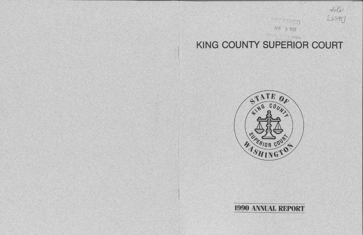# KING COUNTY SUPERIOR COURT







RECEIVED APR 5 1991